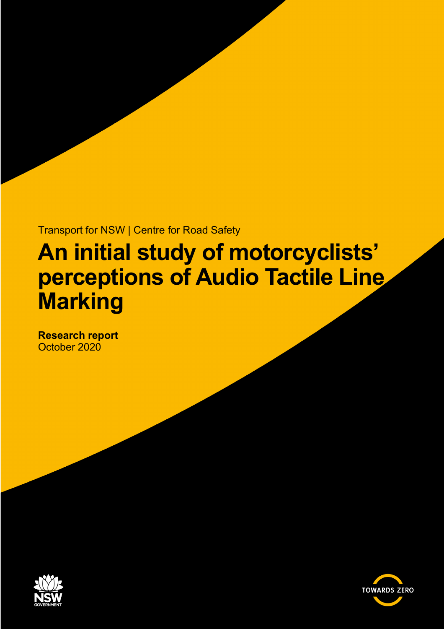Transport for NSW | Centre for Road Safety

# **An initial study of motorcyclists' perceptions of Audio Tactile Line Marking**

**Research report** October 2020



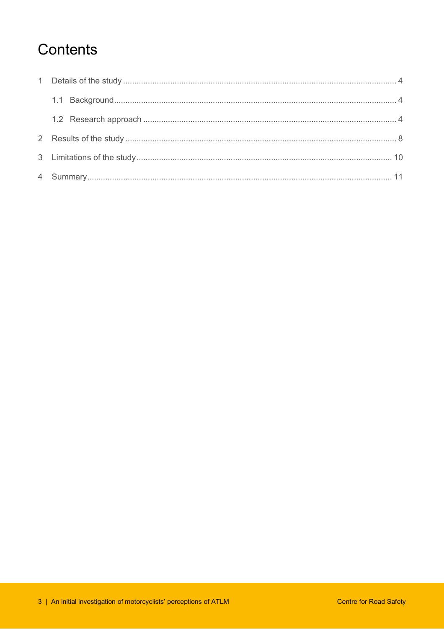### Contents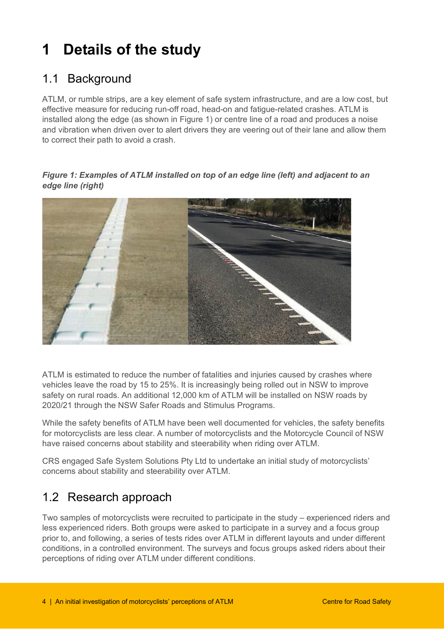# <span id="page-3-0"></span>**1 Details of the study**

### <span id="page-3-1"></span>1.1 Background

ATLM, or rumble strips, are a key element of safe system infrastructure, and are a low cost, but effective measure for reducing run-off road, head-on and fatigue-related crashes. ATLM is installed along the edge (as shown in Figure 1) or centre line of a road and produces a noise and vibration when driven over to alert drivers they are veering out of their lane and allow them to correct their path to avoid a crash.

*Figure 1: Examples of ATLM installed on top of an edge line (left) and adjacent to an edge line (right)*



ATLM is estimated to reduce the number of fatalities and injuries caused by crashes where vehicles leave the road by 15 to 25%. It is increasingly being rolled out in NSW to improve safety on rural roads. An additional 12,000 km of ATLM will be installed on NSW roads by 2020/21 through the NSW Safer Roads and Stimulus Programs.

While the safety benefits of ATLM have been well documented for vehicles, the safety benefits for motorcyclists are less clear. A number of motorcyclists and the Motorcycle Council of NSW have raised concerns about stability and steerability when riding over ATLM.

CRS engaged Safe System Solutions Pty Ltd to undertake an initial study of motorcyclists' concerns about stability and steerability over ATLM.

### <span id="page-3-2"></span>1.2 Research approach

Two samples of motorcyclists were recruited to participate in the study – experienced riders and less experienced riders. Both groups were asked to participate in a survey and a focus group prior to, and following, a series of tests rides over ATLM in different layouts and under different conditions, in a controlled environment. The surveys and focus groups asked riders about their perceptions of riding over ATLM under different conditions.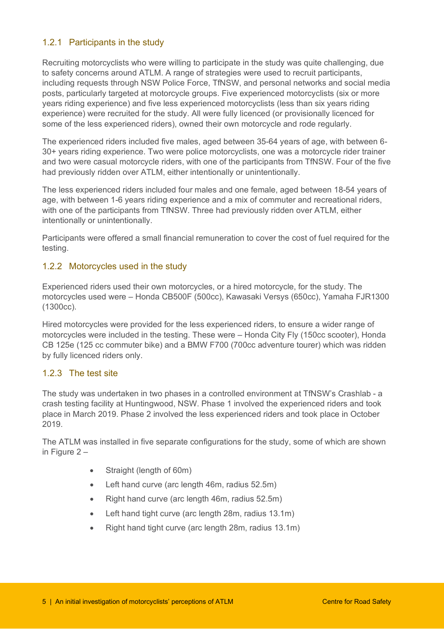#### 1.2.1 Participants in the study

Recruiting motorcyclists who were willing to participate in the study was quite challenging, due to safety concerns around ATLM. A range of strategies were used to recruit participants, including requests through NSW Police Force, TfNSW, and personal networks and social media posts, particularly targeted at motorcycle groups. Five experienced motorcyclists (six or more years riding experience) and five less experienced motorcyclists (less than six years riding experience) were recruited for the study. All were fully licenced (or provisionally licenced for some of the less experienced riders), owned their own motorcycle and rode regularly.

The experienced riders included five males, aged between 35-64 years of age, with between 6- 30+ years riding experience. Two were police motorcyclists, one was a motorcycle rider trainer and two were casual motorcycle riders, with one of the participants from TfNSW. Four of the five had previously ridden over ATLM, either intentionally or unintentionally.

The less experienced riders included four males and one female, aged between 18-54 years of age, with between 1-6 years riding experience and a mix of commuter and recreational riders, with one of the participants from TfNSW. Three had previously ridden over ATLM, either intentionally or unintentionally.

Participants were offered a small financial remuneration to cover the cost of fuel required for the testing.

#### 1.2.2 Motorcycles used in the study

Experienced riders used their own motorcycles, or a hired motorcycle, for the study. The motorcycles used were – Honda CB500F (500cc), Kawasaki Versys (650cc), Yamaha FJR1300 (1300cc).

Hired motorcycles were provided for the less experienced riders, to ensure a wider range of motorcycles were included in the testing. These were – Honda City Fly (150cc scooter), Honda CB 125e (125 cc commuter bike) and a BMW F700 (700cc adventure tourer) which was ridden by fully licenced riders only.

#### 1.2.3 The test site

The study was undertaken in two phases in a controlled environment at TfNSW's Crashlab - a crash testing facility at Huntingwood, NSW. Phase 1 involved the experienced riders and took place in March 2019. Phase 2 involved the less experienced riders and took place in October 2019.

The ATLM was installed in five separate configurations for the study, some of which are shown in Figure 2 –

- Straight (length of 60m)
- Left hand curve (arc length 46m, radius 52.5m)
- Right hand curve (arc length 46m, radius 52.5m)
- Left hand tight curve (arc length 28m, radius 13.1m)
- Right hand tight curve (arc length 28m, radius 13.1m)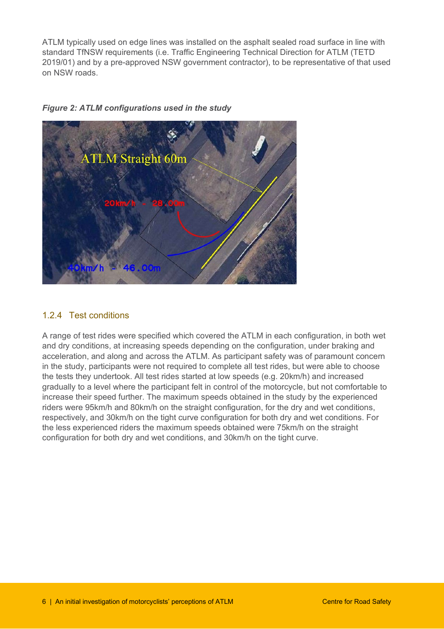ATLM typically used on edge lines was installed on the asphalt sealed road surface in line with standard TfNSW requirements (i.e. Traffic Engineering Technical Direction for ATLM (TETD 2019/01) and by a pre-approved NSW government contractor), to be representative of that used on NSW roads.





#### 1.2.4 Test conditions

A range of test rides were specified which covered the ATLM in each configuration, in both wet and dry conditions, at increasing speeds depending on the configuration, under braking and acceleration, and along and across the ATLM. As participant safety was of paramount concern in the study, participants were not required to complete all test rides, but were able to choose the tests they undertook. All test rides started at low speeds (e.g. 20km/h) and increased gradually to a level where the participant felt in control of the motorcycle, but not comfortable to increase their speed further. The maximum speeds obtained in the study by the experienced riders were 95km/h and 80km/h on the straight configuration, for the dry and wet conditions, respectively, and 30km/h on the tight curve configuration for both dry and wet conditions. For the less experienced riders the maximum speeds obtained were 75km/h on the straight configuration for both dry and wet conditions, and 30km/h on the tight curve.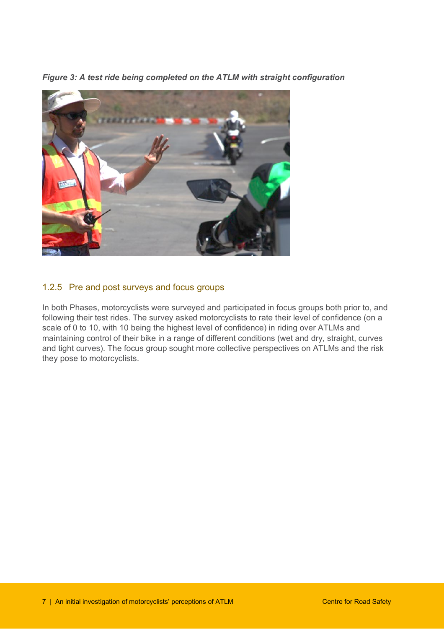*Figure 3: A test ride being completed on the ATLM with straight configuration*



#### 1.2.5 Pre and post surveys and focus groups

In both Phases, motorcyclists were surveyed and participated in focus groups both prior to, and following their test rides. The survey asked motorcyclists to rate their level of confidence (on a scale of 0 to 10, with 10 being the highest level of confidence) in riding over ATLMs and maintaining control of their bike in a range of different conditions (wet and dry, straight, curves and tight curves). The focus group sought more collective perspectives on ATLMs and the risk they pose to motorcyclists.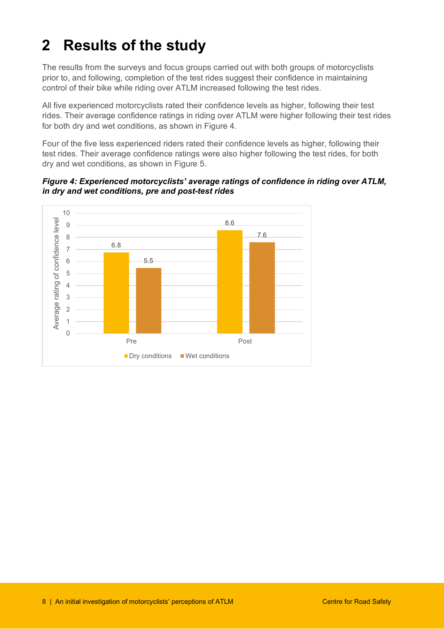## <span id="page-7-0"></span>**2 Results of the study**

The results from the surveys and focus groups carried out with both groups of motorcyclists prior to, and following, completion of the test rides suggest their confidence in maintaining control of their bike while riding over ATLM increased following the test rides.

All five experienced motorcyclists rated their confidence levels as higher, following their test rides. Their average confidence ratings in riding over ATLM were higher following their test rides for both dry and wet conditions, as shown in Figure 4.

Four of the five less experienced riders rated their confidence levels as higher, following their test rides. Their average confidence ratings were also higher following the test rides, for both dry and wet conditions, as shown in Figure 5.

*Figure 4: Experienced motorcyclists' average ratings of confidence in riding over ATLM, in dry and wet conditions, pre and post-test rides* 

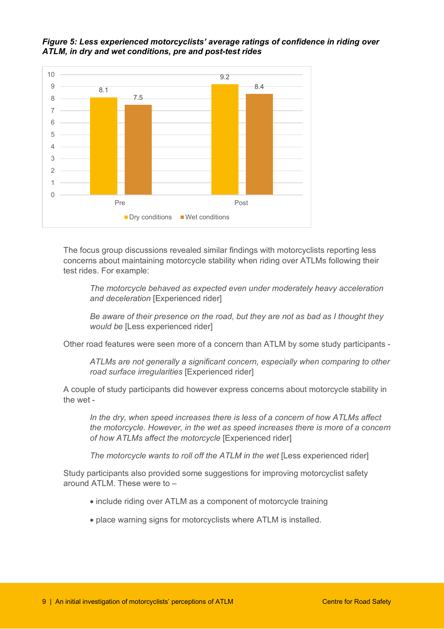*Figure 5: Less experienced motorcyclists' average ratings of confidence in riding over ATLM, in dry and wet conditions, pre and post-test rides* 



The focus group discussions revealed similar findings with motorcyclists reporting less concerns about maintaining motorcycle stability when riding over ATLMs following their test rides. For example:

*The motorcycle behaved as expected even under moderately heavy acceleration and deceleration* [Experienced rider]

*Be aware of their presence on the road, but they are not as bad as I thought they would be* [Less experienced rider]

Other road features were seen more of a concern than ATLM by some study participants -

*ATLMs are not generally a significant concern, especially when comparing to other road surface irregularities* [Experienced rider]

A couple of study participants did however express concerns about motorcycle stability in the wet -

*In the dry, when speed increases there is less of a concern of how ATLMs affect the motorcycle. However, in the wet as speed increases there is more of a concern of how ATLMs affect the motorcycle* [Experienced rider]

*The motorcycle wants to roll off the ATLM in the wet* [Less experienced rider]

Study participants also provided some suggestions for improving motorcyclist safety around ATLM. These were to  $-$ 

- include riding over ATLM as a component of motorcycle training
- place warning signs for motorcyclists where ATLM is installed.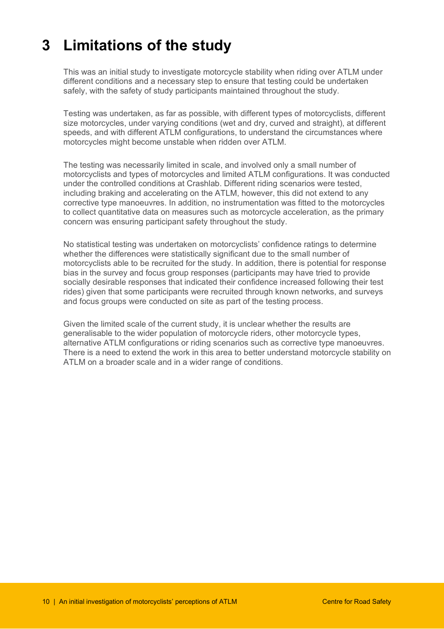## <span id="page-9-0"></span>**3 Limitations of the study**

This was an initial study to investigate motorcycle stability when riding over ATLM under different conditions and a necessary step to ensure that testing could be undertaken safely, with the safety of study participants maintained throughout the study.

Testing was undertaken, as far as possible, with different types of motorcyclists, different size motorcycles, under varying conditions (wet and dry, curved and straight), at different speeds, and with different ATLM configurations, to understand the circumstances where motorcycles might become unstable when ridden over ATLM.

The testing was necessarily limited in scale, and involved only a small number of motorcyclists and types of motorcycles and limited ATLM configurations. It was conducted under the controlled conditions at Crashlab. Different riding scenarios were tested, including braking and accelerating on the ATLM, however, this did not extend to any corrective type manoeuvres. In addition, no instrumentation was fitted to the motorcycles to collect quantitative data on measures such as motorcycle acceleration, as the primary concern was ensuring participant safety throughout the study.

No statistical testing was undertaken on motorcyclists' confidence ratings to determine whether the differences were statistically significant due to the small number of motorcyclists able to be recruited for the study. In addition, there is potential for response bias in the survey and focus group responses (participants may have tried to provide socially desirable responses that indicated their confidence increased following their test rides) given that some participants were recruited through known networks, and surveys and focus groups were conducted on site as part of the testing process.

Given the limited scale of the current study, it is unclear whether the results are generalisable to the wider population of motorcycle riders, other motorcycle types, alternative ATLM configurations or riding scenarios such as corrective type manoeuvres. There is a need to extend the work in this area to better understand motorcycle stability on ATLM on a broader scale and in a wider range of conditions.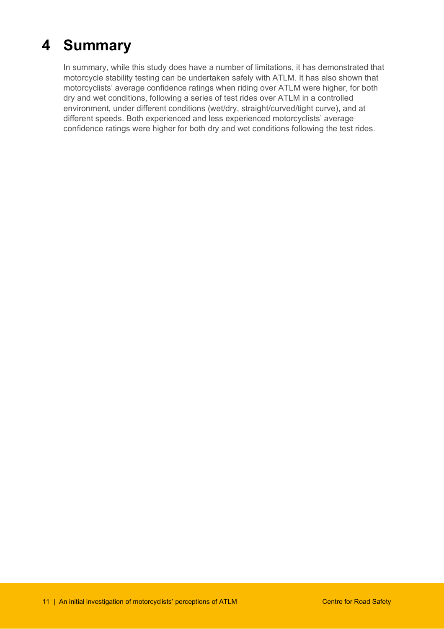## <span id="page-10-0"></span>**4 Summary**

In summary, while this study does have a number of limitations, it has demonstrated that motorcycle stability testing can be undertaken safely with ATLM. It has also shown that motorcyclists' average confidence ratings when riding over ATLM were higher, for both dry and wet conditions, following a series of test rides over ATLM in a controlled environment, under different conditions (wet/dry, straight/curved/tight curve), and at different speeds. Both experienced and less experienced motorcyclists' average confidence ratings were higher for both dry and wet conditions following the test rides.